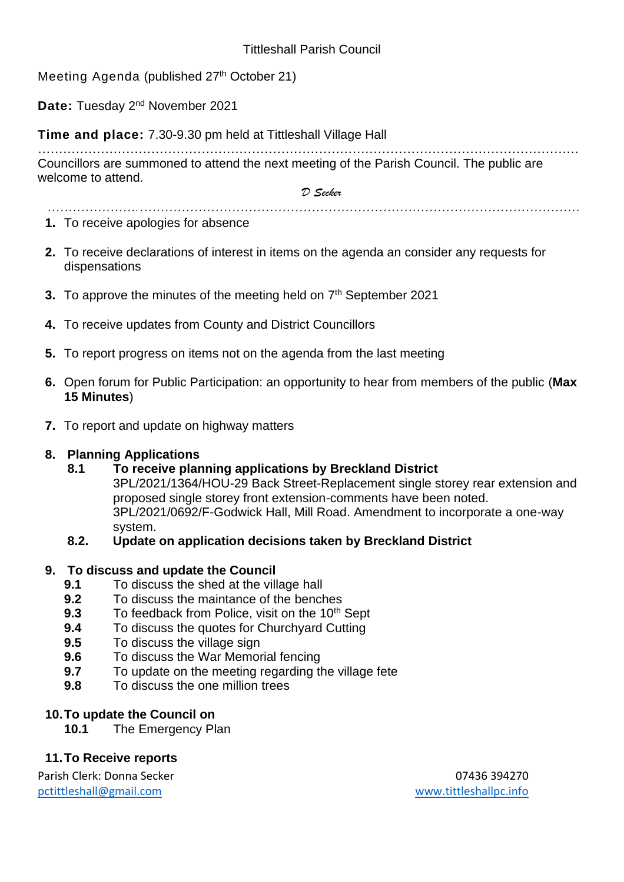Meeting Agenda (published 27<sup>th</sup> October 21)

Date: Tuesday 2<sup>nd</sup> November 2021

**Time and place:** 7.30-9.30 pm held at Tittleshall Village Hall

………………………………………………………………………………………………………………… Councillors are summoned to attend the next meeting of the Parish Council. The public are welcome to attend.

*………………….……………………………………………………………………………………………* 

*D Secker*

- **1.** To receive apologies for absence
- **2.** To receive declarations of interest in items on the agenda an consider any requests for dispensations
- **3.** To approve the minutes of the meeting held on 7<sup>th</sup> September 2021
- **4.** To receive updates from County and District Councillors
- **5.** To report progress on items not on the agenda from the last meeting
- **6.** Open forum for Public Participation: an opportunity to hear from members of the public (**Max 15 Minutes**)
- **7.** To report and update on highway matters

### **8. Planning Applications**

**8.1 To receive planning applications by Breckland District**

3PL/2021/1364/HOU-29 Back Street-Replacement single storey rear extension and proposed single storey front extension-comments have been noted. 3PL/2021/0692/F-Godwick Hall, Mill Road. Amendment to incorporate a one-way system.

**8.2. Update on application decisions taken by Breckland District**

### **9. To discuss and update the Council**

- **9.1** To discuss the shed at the village hall
- **9.2** To discuss the maintance of the benches
- **9.3** To feedback from Police, visit on the 10<sup>th</sup> Sept
- **9.4** To discuss the quotes for Churchyard Cutting
- **9.5** To discuss the village sign
- **9.6** To discuss the War Memorial fencing
- **9.7** To update on the meeting regarding the village fete
- **9.8** To discuss the one million trees

### **10.To update the Council on**

**10.1** The Emergency Plan

## **11.To Receive reports**

Parish Clerk: Donna Secker 07436 394270 [pctittleshall@gmail.com](mailto:pctittleshall@gmail.com) [www.tittleshallpc.info](http://www.tittleshallpc.info/)